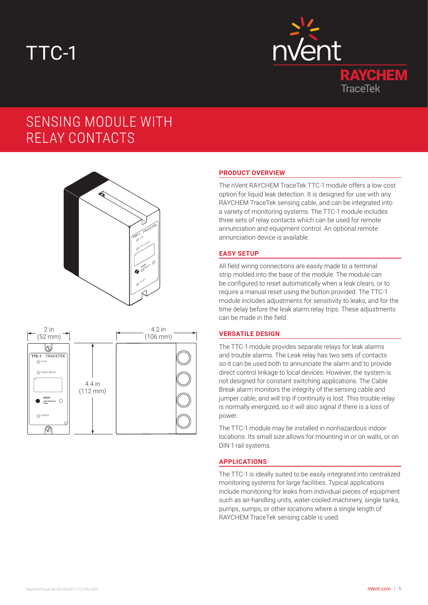# TTC-1



# SENSING MODULE WITH RELAY CONTACTS





## **PRODUCT OVERVIEW**

The nVent RAYCHEM TraceTek TTC-1 module offers a low cost option for liquid leak detection. It is designed for use with any RAYCHEM TraceTek sensing cable, and can be integrated into a variety of monitoring systems. The TTC-1 module includes three sets of relay contacts which can be used for remote annunciation and equipment control. An optional remote annunciation device is available.

#### **EASY SETUP**

All field wiring connections are easily made to a terminal strip molded into the base of the module. The module can be configured to reset automatically when a leak clears, or to require a manual reset using the button provided. The TTC-1 module includes adjustments for sensitivity to leaks, and for the time delay before the leak alarm relay trips. These adjustments can be made in the field.

# **VERSATILE DESIGN**

The TTC-1 module provides separate relays for leak alarms and trouble alarms. The Leak relay has two sets of contacts so it can be used both to annunciate the alarm and to provide direct control linkage to local devices. However, the system is not designed for constant switching applications. The Cable Break alarm monitors the integrity of the sensing cable and jumper cable, and will trip if continuity is lost. This trouble relay is normally energized, so it will also signal if there is a loss of power.

The TTC-1 module may be installed in nonhazardous indoor locations. Its small size allows for mounting in or on walls, or on DIN 1 rail systems.

#### **APPLICATIONS**

The TTC-1 is ideally suited to be easily integrated into centralized monitoring systems for large facilities. Typical applications include monitoring for leaks from individual pieces of equipment such as air-handling units, water-cooled machinery, single tanks, pumps, sumps, or other locations where a single length of RAYCHEM TraceTek sensing cable is used.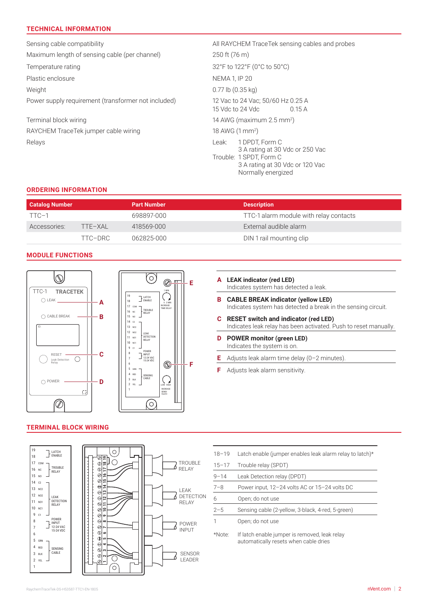# **TECHNICAL INFORMATION**

Sensing cable compatibility **All RAYCHEM TraceTek sensing cables and probes** All RAYCHEM TraceTek sensing cables and probes Maximum length of sensing cable (per channel) 250 ft (76 m) Temperature rating 32°F to 122°F (0°C to 50°C) Plastic enclosure NEMA 1, IP 20 Weight 0.77 lb (0.35 kg) Power supply requirement (transformer not included) 12 Vac to 24 Vac; 50/60 Hz 0.25 A 15 Vdc to 24 Vdc 0.15 A Terminal block wiring 14 AWG (maximum 2.5 mm<sup>2</sup> ) RAYCHEM TraceTek jumper cable wiring 18 AWG (1 mm<sup>2</sup>) Relays Leak: 1 DPDT, Form C 3 A rating at 30 Vdc or 250 Vac Trouble: 1 SPDT, Form C 3 A rating at 30 Vdc or 120 Vac Normally energized

#### **ORDERING INFORMATION**

| <b>Catalog Number</b> |         | <b>Part Number</b> | <b>Description</b>                     |
|-----------------------|---------|--------------------|----------------------------------------|
| TTC-1                 |         | 698897-000         | TTC-1 alarm module with relay contacts |
| Accessories:          | TTF-XAI | 418569-000         | External audible alarm                 |
|                       | TTC-DRC | 062825-000         | DIN 1 rail mounting clip               |

## **MODULE FUNCTIONS**



#### **TERMINAL BLOCK WIRING**



| Е | A LEAK indicator (red LED)<br>Indicates system has detected a leak.                                               |
|---|-------------------------------------------------------------------------------------------------------------------|
|   | <b>B</b> CABLE BREAK indicator (yellow LED)<br>Indicates system has detected a break in the sensing circuit.      |
|   | <b>C</b> RESET switch and indicator (red LED)<br>Indicates leak relay has been activated. Push to reset manually. |
|   | <b>D</b> POWER monitor (green LED)<br>Indicates the system is on.                                                 |
|   |                                                                                                                   |

**E** Adjusts leak alarm time delay (0–2 minutes).

**F** Adjusts leak alarm sensitivity.

| $18 - 19$             | Latch enable (jumper enables leak alarm relay to latch)* |  |
|-----------------------|----------------------------------------------------------|--|
| $15 - 17$             | Trouble relay (SPDT)                                     |  |
| $9 - 14$              | Leak Detection relay (DPDT)                              |  |
| $7 - 8$               | Power input, 12-24 volts AC or 15-24 volts DC            |  |
| 6                     | Open; do not use                                         |  |
| $2 - 5$               | Sensing cable (2-yellow, 3-black, 4-red, 5-green)        |  |
|                       | Open; do not use                                         |  |
| $*$ N $\sim$ t $\sim$ | If latab anable iumper is removed leak relay             |  |

\*Note: If latch enable jumper is removed, leak relay automatically resets when cable dries